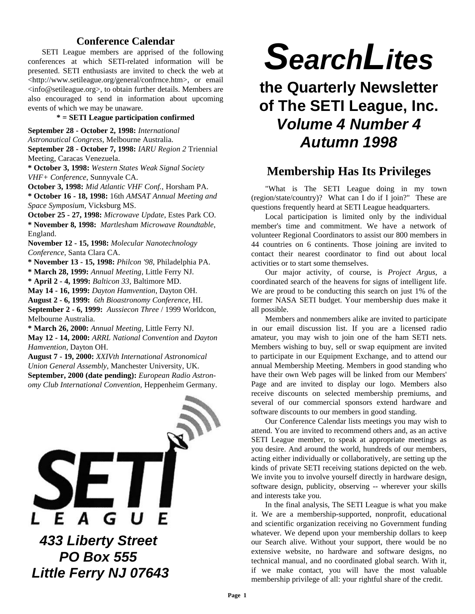## **Conference Calendar**

SETI League members are apprised of the following conferences at which SETI-related information will be presented. SETI enthusiasts are invited to check the web at <http://www.setileague.org/general/confrnce.htm>, or email <info@setileague.org>, to obtain further details. Members are also encouraged to send in information about upcoming events of which we may be unaware.

**\* = SETI League participation confirmed**

**September 28 - October 2, 1998:** *International*

*Astronautical Congress,* Melbourne Australia.

**September 28 - October 7, 1998:** *IARU Region 2* Triennial Meeting, Caracas Venezuela.

**\* October 3, 1998:** *Western States Weak Signal Society VHF+ Conference*, Sunnyvale CA.

**October 3, 1998:** *Mid Atlantic VHF Conf.*, Horsham PA.

**\* October 16 - 18, 1998:** 16th *AMSAT Annual Meeting and Space Symposium*, Vicksburg MS.

**October 25 - 27, 1998:** *Microwave Update*, Estes Park CO. **\* November 8, 1998:** *Martlesham Microwave Roundtable*, England.

**November 12 - 15, 1998:** *Molecular Nanotechnology Conference*, Santa Clara CA.

**\* November 13 - 15, 1998:** *Philcon '98*, Philadelphia PA.

**\* March 28, 1999:** *Annual Meeting,* Little Ferry NJ.

**\* April 2 - 4, 1999:** *Balticon 33,* Baltimore MD.

**May 14 - 16, 1999:** *Dayton Hamvention*, Dayton OH.

**August 2 - 6, 1999:** *6th Bioastronomy Conference,* HI. **September 2 - 6, 1999:** *Aussiecon Three* / 1999 Worldcon,

Melbourne Australia.

**\* March 26, 2000:** *Annual Meeting,* Little Ferry NJ.

**May 12 - 14, 2000:** *ARRL National Convention* and *Dayton Hamvention*, Dayton OH.

**August 7 - 19, 2000:** *XXIVth International Astronomical Union General Assembly*, Manchester University, UK.

**September, 2000 (date pending):** *European Radio Astronomy Club International Convention,* Heppenheim Germany.



*SearchLites*

# **the Quarterly Newsletter of The SETI League, Inc.** *Volume 4 Number 4 Autumn 1998*

## **Membership Has Its Privileges**

"What is The SETI League doing in my town (region/state/country)? What can I do if I join?" These are questions frequently heard at SETI League headquarters.

Local participation is limited only by the individual member's time and commitment. We have a network of volunteer Regional Coordinators to assist our 800 members in 44 countries on 6 continents. Those joining are invited to contact their nearest coordinator to find out about local activities or to start some themselves.

Our major activity, of course, is *Project Argus*, a coordinated search of the heavens for signs of intelligent life. We are proud to be conducting this search on just 1% of the former NASA SETI budget. Your membership dues make it all possible.

Members and nonmembers alike are invited to participate in our email discussion list. If you are a licensed radio amateur, you may wish to join one of the ham SETI nets. Members wishing to buy, sell or swap equipment are invited to participate in our Equipment Exchange, and to attend our annual Membership Meeting. Members in good standing who have their own Web pages will be linked from our Members' Page and are invited to display our logo. Members also receive discounts on selected membership premiums, and several of our commercial sponsors extend hardware and software discounts to our members in good standing.

Our Conference Calendar lists meetings you may wish to attend. You are invited to recommend others and, as an active SETI League member, to speak at appropriate meetings as you desire. And around the world, hundreds of our members, acting either individually or collaboratively, are setting up the kinds of private SETI receiving stations depicted on the web. We invite you to involve yourself directly in hardware design, software design, publicity, observing -- wherever your skills and interests take you.

In the final analysis, The SETI League is what you make it. We are a membership-supported, nonprofit, educational and scientific organization receiving no Government funding whatever. We depend upon your membership dollars to keep our Search alive. Without your support, there would be no extensive website, no hardware and software designs, no technical manual, and no coordinated global search. With it, if we make contact, you will have the most valuable membership privilege of all: your rightful share of the credit.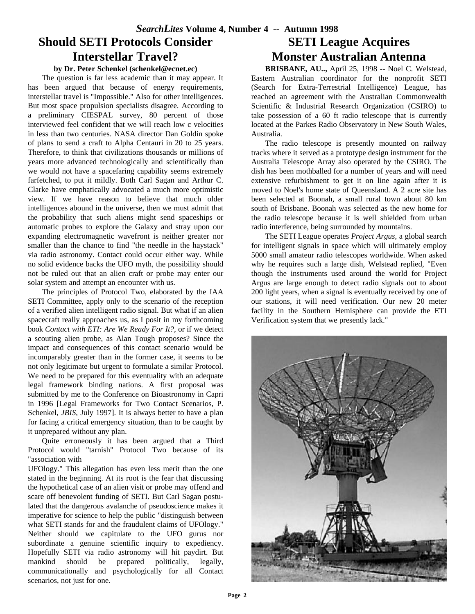# **Should SETI Protocols Consider Interstellar Travel?**

## **by Dr. Peter Schenkel (schenkel@ecnet.ec)**

The question is far less academic than it may appear. It has been argued that because of energy requirements, interstellar travel is "Impossible." Also for other intelligences. But most space propulsion specialists disagree. According to a preliminary CIESPAL survey, 80 percent of those interviewed feel confident that we will reach low c velocities in less than two centuries. NASA director Dan Goldin spoke of plans to send a craft to Alpha Centauri in 20 to 25 years. Therefore, to think that civilizations thousands or millions of years more advanced technologically and scientifically than we would not have a spacefaring capability seems extremely farfetched, to put it mildly. Both Carl Sagan and Arthur C. Clarke have emphatically advocated a much more optimistic view. If we have reason to believe that much older intelligences abound in the universe, then we must admit that the probability that such aliens might send spaceships or automatic probes to explore the Galaxy and stray upon our expanding electromagnetic wavefront is neither greater nor smaller than the chance to find "the needle in the haystack" via radio astronomy. Contact could occur either way. While no solid evidence backs the UFO myth, the possibility should not be ruled out that an alien craft or probe may enter our solar system and attempt an encounter with us.

The principles of Protocol Two, elaborated by the IAA SETI Committee, apply only to the scenario of the reception of a verified alien intelligent radio signal. But what if an alien spacecraft really approaches us, as I posit in my forthcoming book *Contact with ETI: Are We Ready For It?*, or if we detect a scouting alien probe, as Alan Tough proposes? Since the impact and consequences of this contact scenario would be incomparably greater than in the former case, it seems to be not only legitimate but urgent to formulate a similar Protocol. We need to be prepared for this eventuality with an adequate legal framework binding nations. A first proposal was submitted by me to the Conference on Bioastronomy in Capri in 1996 [Legal Frameworks for Two Contact Scenarios, P. Schenkel, *JBIS*, July 1997]. It is always better to have a plan for facing a critical emergency situation, than to be caught by it unprepared without any plan.

Quite erroneously it has been argued that a Third Protocol would "tarnish" Protocol Two because of its "association with

UFOlogy." This allegation has even less merit than the one stated in the beginning. At its root is the fear that discussing the hypothetical case of an alien visit or probe may offend and scare off benevolent funding of SETI. But Carl Sagan postulated that the dangerous avalanche of pseudoscience makes it imperative for science to help the public "distinguish between what SETI stands for and the fraudulent claims of UFOlogy." Neither should we capitulate to the UFO gurus nor subordinate a genuine scientific inquiry to expediency. Hopefully SETI via radio astronomy will hit paydirt. But mankind should be prepared politically, legally, communicationally and psychologically for all Contact scenarios, not just for one.

## **SETI League Acquires Monster Australian Antenna**

**BRISBANE, AU..,** April 25, 1998 -- Noel C. Welstead, Eastern Australian coordinator for the nonprofit SETI (Search for Extra-Terrestrial Intelligence) League, has reached an agreement with the Australian Commonwealth Scientific & Industrial Research Organization (CSIRO) to take possession of a 60 ft radio telescope that is currently located at the Parkes Radio Observatory in New South Wales, Australia.

The radio telescope is presently mounted on railway tracks where it served as a prototype design instrument for the Australia Telescope Array also operated by the CSIRO. The dish has been mothballed for a number of years and will need extensive refurbishment to get it on line again after it is moved to Noel's home state of Queensland. A 2 acre site has been selected at Boonah, a small rural town about 80 km south of Brisbane. Boonah was selected as the new home for the radio telescope because it is well shielded from urban radio interference, being surrounded by mountains.

The SETI League operates *Project Argus*, a global search for intelligent signals in space which will ultimately employ 5000 small amateur radio telescopes worldwide. When asked why he requires such a large dish, Welstead replied, "Even though the instruments used around the world for Project Argus are large enough to detect radio signals out to about 200 light years, when a signal is eventually received by one of our stations, it will need verification. Our new 20 meter facility in the Southern Hemisphere can provide the ETI Verification system that we presently lack."

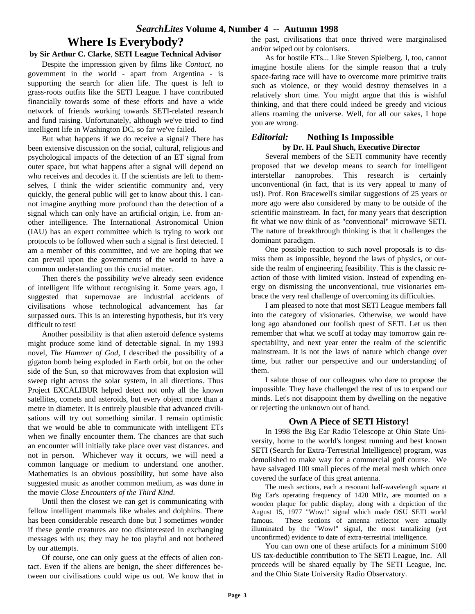# **Where Is Everybody?**

#### **by Sir Arthur C. Clarke**, **SETI League Technical Advisor**

Despite the impression given by films like *Contact*, no government in the world - apart from Argentina - is supporting the search for alien life. The quest is left to grass-roots outfits like the SETI League. I have contributed financially towards some of these efforts and have a wide network of friends working towards SETI-related research and fund raising. Unfortunately, although we've tried to find intelligent life in Washington DC, so far we've failed.

But what happens if we do receive a signal? There has been extensive discussion on the social, cultural, religious and psychological impacts of the detection of an ET signal from outer space, but what happens after a signal will depend on who receives and decodes it. If the scientists are left to themselves, I think the wider scientific community and, very quickly, the general public will get to know about this. I cannot imagine anything more profound than the detection of a signal which can only have an artificial origin, i.e. from another intelligence. The International Astronomical Union (IAU) has an expert committee which is trying to work out protocols to be followed when such a signal is first detected. I am a member of this committee, and we are hoping that we can prevail upon the governments of the world to have a common understanding on this crucial matter.

Then there's the possibility we've already seen evidence of intelligent life without recognising it. Some years ago, I suggested that supernovae are industrial accidents of civilisations whose technological advancement has far surpassed ours. This is an interesting hypothesis, but it's very difficult to test!

Another possibility is that alien asteroid defence systems might produce some kind of detectable signal. In my 1993 novel, *The Hammer of God*, I described the possibility of a gigaton bomb being exploded in Earth orbit, but on the other side of the Sun, so that microwaves from that explosion will sweep right across the solar system, in all directions. Thus Project EXCALIBUR helped detect not only all the known satellites, comets and asteroids, but every object more than a metre in diameter. It is entirely plausible that advanced civilisations will try out something similar. I remain optimistic that we would be able to communicate with intelligent ETs when we finally encounter them. The chances are that such an encounter will initially take place over vast distances. and not in person. Whichever way it occurs, we will need a common language or medium to understand one another. Mathematics is an obvious possibility, but some have also suggested music as another common medium, as was done in the movie *Close Encounters of the Third Kind*.

Until then the closest we can get is communicating with fellow intelligent mammals like whales and dolphins. There has been considerable research done but I sometimes wonder if these gentle creatures are too disinterested in exchanging messages with us; they may he too playful and not bothered by our attempts.

Of course, one can only guess at the effects of alien contact. Even if the aliens are benign, the sheer differences between our civilisations could wipe us out. We know that in the past, civilisations that once thrived were marginalised and/or wiped out by colonisers.

As for hostile ETs... Like Steven Spielberg, I, too, cannot imagine hostile aliens for the simple reason that a truly space-faring race will have to overcome more primitive traits such as violence, or they would destroy themselves in a relatively short time. You might argue that this is wishful thinking, and that there could indeed be greedy and vicious aliens roaming the universe. Well, for all our sakes, I hope you are wrong.

### *Editorial:* **Nothing Is Impossible by Dr. H. Paul Shuch, Executive Director**

Several members of the SETI community have recently proposed that we develop means to search for intelligent interstellar nanoprobes. This research is certainly unconventional (in fact, that is its very appeal to many of us!). Prof. Ron Bracewell's similar suggestions of 25 years or more ago were also considered by many to be outside of the scientific mainstream. In fact, for many years that description fit what we now think of as "conventional" microwave SETI. The nature of breakthrough thinking is that it challenges the dominant paradigm.

One possible reaction to such novel proposals is to dismiss them as impossible, beyond the laws of physics, or outside the realm of engineering feasibility. This is the classic reaction of those with limited vision. Instead of expending energy on dismissing the unconventional, true visionaries embrace the very real challenge of overcoming its difficulties.

I am pleased to note that most SETI League members fall into the category of visionaries. Otherwise, we would have long ago abandoned our foolish quest of SETI. Let us then remember that what we scoff at today may tomorrow gain respectability, and next year enter the realm of the scientific mainstream. It is not the laws of nature which change over time, but rather our perspective and our understanding of them.

I salute those of our colleagues who dare to propose the impossible. They have challenged the rest of us to expand our minds. Let's not disappoint them by dwelling on the negative or rejecting the unknown out of hand.

## **Own A Piece of SETI History!**

In 1998 the Big Ear Radio Telescope at Ohio State University, home to the world's longest running and best known SETI (Search for Extra-Terrestrial Intelligence) program, was demolished to make way for a commercial golf course. We have salvaged 100 small pieces of the metal mesh which once covered the surface of this great antenna.

The mesh sections, each a resonant half-wavelength square at Big Ear's operating frequency of 1420 MHz, are mounted on a wooden plaque for public display, along with a depiction of the August 15, 1977 "Wow!" signal which made OSU SETI world famous. These sections of antenna reflector were actually illuminated by the "Wow!" signal, the most tantalizing (yet unconfirmed) evidence to date of extra-terrestrial intelligence.

You can own one of these artifacts for a minimum \$100 US tax-deductible contribution to The SETI League, Inc. All proceeds will be shared equally by The SETI League, Inc. and the Ohio State University Radio Observatory.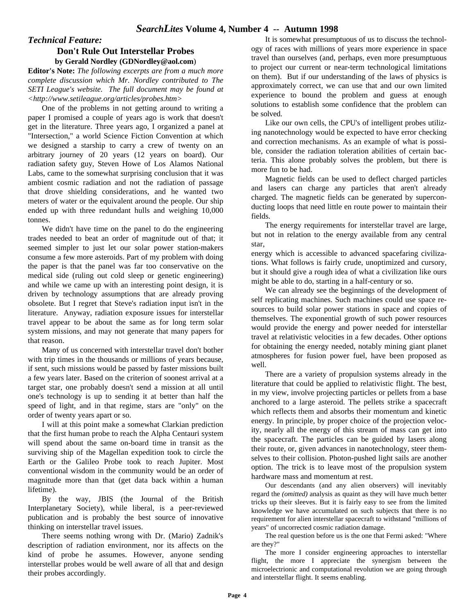### *Technical Feature:* **Don't Rule Out Interstellar Probes by Gerald Nordley (GDNordley@aol.com**)

**Editor's Note:** *The following excerpts are from a much more complete discussion which Mr. Nordley contributed to The SETI League's website. The full document may be found at <http://www.setileague.org/articles/probes.htm>*

One of the problems in not getting around to writing a paper I promised a couple of years ago is work that doesn't get in the literature. Three years ago, I organized a panel at "Intersection," a world Science Fiction Convention at which we designed a starship to carry a crew of twenty on an arbitrary journey of 20 years (12 years on board). Our radiation safety guy, Steven Howe of Los Alamos National Labs, came to the somewhat surprising conclusion that it was ambient cosmic radiation and not the radiation of passage that drove shielding considerations, and he wanted two meters of water or the equivalent around the people. Our ship ended up with three redundant hulls and weighing 10,000 tonnes.

We didn't have time on the panel to do the engineering trades needed to beat an order of magnitude out of that; it seemed simpler to just let our solar power station-makers consume a few more asteroids. Part of my problem with doing the paper is that the panel was far too conservative on the medical side (ruling out cold sleep or genetic engineering) and while we came up with an interesting point design, it is driven by technology assumptions that are already proving obsolete. But I regret that Steve's radiation input isn't in the literature. Anyway, radiation exposure issues for interstellar travel appear to be about the same as for long term solar system missions, and may not generate that many papers for that reason.

Many of us concerned with interstellar travel don't bother with trip times in the thousands or millions of years because, if sent, such missions would be passed by faster missions built a few years later. Based on the criterion of soonest arrival at a target star, one probably doesn't send a mission at all until one's technology is up to sending it at better than half the speed of light, and in that regime, stars are "only" on the order of twenty years apart or so.

I will at this point make a somewhat Clarkian prediction that the first human probe to reach the Alpha Centauri system will spend about the same on-board time in transit as the surviving ship of the Magellan expedition took to circle the Earth or the Galileo Probe took to reach Jupiter. Most conventional wisdom in the community would be an order of magnitude more than that (get data back within a human lifetime).

By the way, JBIS (the Journal of the British Interplanetary Society), while liberal, is a peer-reviewed publication and is probably the best source of innovative thinking on interstellar travel issues.

There seems nothing wrong with Dr. (Mario) Zadnik's description of radiation environment, nor its affects on the kind of probe he assumes. However, anyone sending interstellar probes would be well aware of all that and design their probes accordingly.

It is somewhat presumptuous of us to discuss the technology of races with millions of years more experience in space travel than ourselves (and, perhaps, even more presumptuous to project our current or near-term technological limitations on them). But if our understanding of the laws of physics is approximately correct, we can use that and our own limited experience to bound the problem and guess at enough solutions to establish some confidence that the problem can be solved.

Like our own cells, the CPU's of intelligent probes utilizing nanotechnology would be expected to have error checking and correction mechanisms. As an example of what is possible, consider the radiation toleration abilities of certain bacteria. This alone probably solves the problem, but there is more fun to be had.

Magnetic fields can be used to deflect charged particles and lasers can charge any particles that aren't already charged. The magnetic fields can be generated by superconducting loops that need little en route power to maintain their fields.

The energy requirements for interstellar travel are large, but not in relation to the energy available from any central star,

energy which is accessible to advanced spacefaring civilizations. What follows is fairly crude, unoptimized and cursory, but it should give a rough idea of what a civilization like ours might be able to do, starting in a half-century or so.

We can already see the beginnings of the development of self replicating machines. Such machines could use space resources to build solar power stations in space and copies of themselves. The exponential growth of such power resources would provide the energy and power needed for interstellar travel at relativistic velocities in a few decades. Other options for obtaining the energy needed, notably mining giant planet atmospheres for fusion power fuel, have been proposed as well.

There are a variety of propulsion systems already in the literature that could be applied to relativistic flight. The best, in my view, involve projecting particles or pellets from a base anchored to a large asteroid. The pellets strike a spacecraft which reflects them and absorbs their momentum and kinetic energy. In principle, by proper choice of the projection velocity, nearly all the energy of this stream of mass can get into the spacecraft. The particles can be guided by lasers along their route, or, given advances in nanotechnology, steer themselves to their collision. Photon-pushed light sails are another option. The trick is to leave most of the propulsion system hardware mass and momentum at rest.

Our descendants (and any alien observers) will inevitably regard the *(omitted)* analysis as quaint as they will have much better tricks up their sleeves. But it is fairly easy to see from the limited knowledge we have accumulated on such subjects that there is no requirement for alien interstellar spacecraft to withstand "millions of years" of uncorrected cosmic radiation damage.

The real question before us is the one that Fermi asked: "Where are they?"

The more I consider engineering approaches to interstellar flight, the more I appreciate the synergism between the microelectrionic and computational revolution we are going through and interstellar flight. It seems enabling.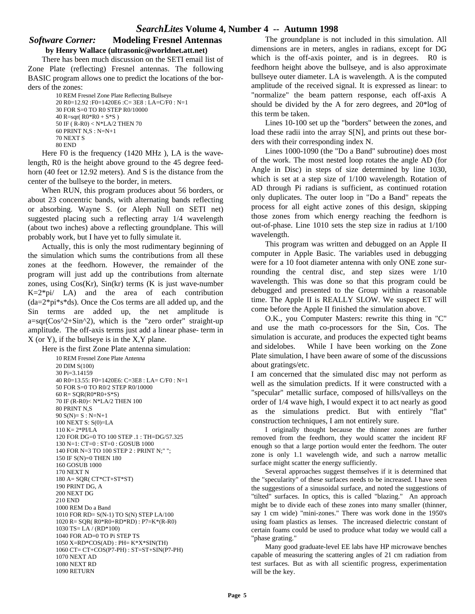### *Software Corner:* **Modeling Fresnel Antennas by Henry Wallace (ultrasonic@worldnet.att.net)**

There has been much discussion on the SETI email list of Zone Plate (reflecting) Fresnel antennas. The following BASIC program allows one to predict the locations of the borders of the zones:

```
10 REM Fresnel Zone Plate Reflecting Bullseye
20 R0=12.92 :F0=1420E6 :C= 3E8 : LA=C/F0 : N=1
30 FOR S=0 TO R0 STEP R0/10000
40 R=sqr(R0*R0 + S*S)
50 IF ( R-R0) < N*LA/2 THEN 70
60 PRINT N,S : N=N+1
70 NEXT S
80 END
```
Here F0 is the frequency (1420 MHz ), LA is the wavelength, R0 is the height above ground to the 45 degree feedhorn (40 feet or 12.92 meters). And S is the distance from the center of the bullseye to the border, in meters.

When RUN, this program produces about 56 borders, or about 23 concentric bands, with alternating bands reflecting or absorbing. Wayne S. (or Aleph Null on SETI net) suggested placing such a reflecting array 1/4 wavelength (about two inches) above a reflecting groundplane. This will probably work, but I have yet to fully simulate it.

Actually, this is only the most rudimentary beginning of the simulation which sums the contributions from all these zones at the feedhorn. However, the remainder of the program will just add up the contributions from alternate zones, using  $Cos(Kr)$ ,  $Sin(kr)$  terms  $(K$  is just wave-number  $K=2*pi/$  LA) and the area of each contribution (da=2\*pi\*s\*ds). Once the Cos terms are all added up, and the Sin terms are added up, the net amplitude is  $a=sqr(Cos^2+Sin^2)$ , which is the "zero order" straight-up amplitude. The off-axis terms just add a linear phase- term in X (or Y), if the bullseye is in the X,Y plane.

Here is the first Zone Plate antenna simulation:

```
10 REM Fresnel Zone Plate Antenna
20 DIM S(100)
30 Pi=3.14159
40 R0=13.55: F0=1420E6: C=3E8 : LA= C/F0 : N=1
50 FOR S=0 TO R0/2 STEP R0/10000
60 R= SQR(R0*R0+S*S)
70 IF (R-R0)< N*LA/2 THEN 100
80 PRINT N,S
90 S(N)= S : N=N+1100 NEXT S: S(0)=LA
110 K= 2*PI/LA
120 FOR DG=0 TO 100 STEP .1 : TH=DG/57.325
130 N=1: CT=0 : ST=0 : GOSUB 1000
140 FOR N=3 TO 100 STEP 2 : PRINT N;" ";
150 IF S(N)=0 THEN 180
160 GOSUB 1000
170 NEXT N
180 A= SQR( CT*CT+ST*ST)
190 PRINT DG, A
200 NEXT DG
210 END
1000 REM Do a Band
1010 FOR RD= S(N-1) TO S(N) STEP LA/100
1020 R= SQR( R0*R0+RD*RD) : P7=K*(R-R0)
1030 TS= LA / (RD*100)
1040 FOR AD=0 TO Pi STEP TS
1050 X=RD*COS(AD) : PH= K*X*SIN(TH)
1060 CT= CT+COS(P7-PH) : ST=ST+SIN(P7-PH)
1070 NEXT AD
1080 NEXT RD
1090 RETURN
```
The groundplane is not included in this simulation. All dimensions are in meters, angles in radians, except for DG which is the off-axis pointer, and is in degrees. R0 is feedhorn height above the bullseye, and is also approximate bullseye outer diameter. LA is wavelength. A is the computed amplitude of the received signal. It is expressed as linear: to "normalize" the beam pattern response, each off-axis A should be divided by the A for zero degrees, and 20\*log of this term be taken.

Lines 10-100 set up the "borders" between the zones, and load these radii into the array S[N], and prints out these borders with their corresponding index N.

Lines 1000-1090 (the "Do a Band" subroutine) does most of the work. The most nested loop rotates the angle AD (for Angle in Disc) in steps of size determined by line 1030, which is set at a step size of 1/100 wavelength. Rotation of AD through Pi radians is sufficient, as continued rotation only duplicates. The outer loop in "Do a Band" repeats the process for all eight active zones of this design, skipping those zones from which energy reaching the feedhorn is out-of-phase. Line 1010 sets the step size in radius at 1/100 wavelength.

This program was written and debugged on an Apple II computer in Apple Basic. The variables used in debugging were for a 10 foot diameter antenna with only ONE zone surrounding the central disc, and step sizes were 1/10 wavelength. This was done so that this program could be debugged and presented to the Group within a reasonable time. The Apple II is REALLY SLOW. We suspect ET will come before the Apple II finished the simulation above.

O.K., you Computer Masters: rewrite this thing in "C" and use the math co-processors for the Sin, Cos. The simulation is accurate, and produces the expected tight beams and sidelobes. While I have been working on the Zone Plate simulation, I have been aware of some of the discussions about gratings/etc.

I am concerned that the simulated disc may not perform as well as the simulation predicts. If it were constructed with a "specular" metallic surface, composed of hills/valleys on the order of 1/4 wave high, I would expect it to act nearly as good as the simulations predict. But with entirely "flat" construction techniques, I am not entirely sure.

I originally thought because the thinner zones are further removed from the feedhorn, they would scatter the incident RF enough so that a large portion would enter the feedhorn. The outer zone is only 1.1 wavelength wide, and such a narrow metallic surface might scatter the energy sufficiently.

Several approaches suggest themselves if it is determined that the "specularity" of these surfaces needs to be increased. I have seen the suggestions of a sinusoidal surface, and noted the suggestions of "tilted" surfaces. In optics, this is called "blazing." An approach might be to divide each of these zones into many smaller (thinner, say 1 cm wide) "mini-zones." There was work done in the 1950's using foam plastics as lenses. The increased dielectric constant of certain foams could be used to produce what today we would call a "phase grating."

Many good graduate-level EE labs have HP microwave benches capable of measuring the scattering angles of 21 cm radiation from test surfaces. But as with all scientific progress, experimentation will be the key.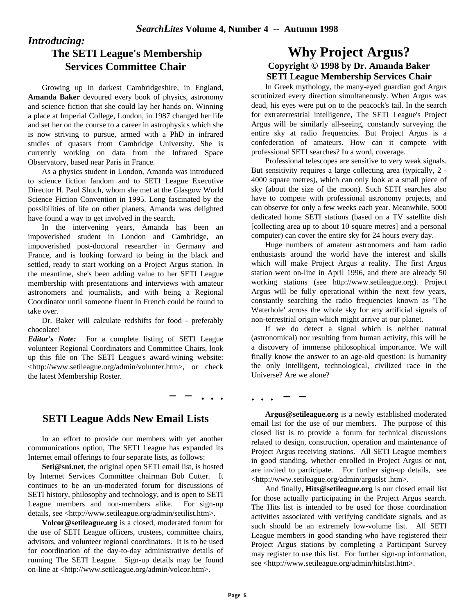*Introducing:*

## **The SETI League's Membership Services Committee Chair**

Growing up in darkest Cambridgeshire, in England, **Amanda Baker** devoured every book of physics, astronomy and science fiction that she could lay her hands on. Winning a place at Imperial College, London, in 1987 changed her life and set her on the course to a career in astrophysics which she is now striving to pursue, armed with a PhD in infrared studies of quasars from Cambridge University. She is currently working on data from the Infrared Space Observatory, based near Paris in France.

As a physics student in London, Amanda was introduced to science fiction fandom and to SETI League Executive Director H. Paul Shuch, whom she met at the Glasgow World Science Fiction Convention in 1995. Long fascinated by the possibilities of life on other planets, Amanda was delighted have found a way to get involved in the search.

In the intervening years, Amanda has been an impoverished student in London and Cambridge, an impoverished post-doctoral researcher in Germany and France, and is looking forward to being in the black and settled, ready to start working on a Project Argus station. In the meantime, she's been adding value to her SETI League membership with presentations and interviews with amateur astronomers and journalists, and with being a Regional Coordinator until someone fluent in French could be found to take over.

Dr. Baker will calculate redshifts for food - preferably chocolate!

*Editor's Note:* For a complete listing of SETI League volunteer Regional Coordinators and Committee Chairs, look up this file on The SETI League's award-wining website: <http://www.setileague.org/admin/volunter.htm>, or check the latest Membership Roster.

**\_ \_ . . .**

**. . .** 

**\_ \_**

## **SETI League Adds New Email Lists**

In an effort to provide our members with yet another communications option, The SETI League has expanded its Internet email offerings to four separate lists, as follows:

**Seti@sni.net**, the original open SETI email list, is hosted by Internet Services Committee chairman Bob Cutter. It continues to be an un-moderated forum for discussions of SETI history, philosophy and technology, and is open to SETI League members and non-members alike. For sign-up details, see <http://www.setileague.org/admin/setilist.htm>.

**Volcor@setileague.org** is a closed, moderated forum for the use of SETI League officers, trustees, committee chairs, advisors, and volunteer regional coordinators. It is to be used for coordination of the day-to-day administrative details of running The SETI League. Sign-up details may be found on-line at <http://www.setileague.org/admin/volcor.htm>.

## **Why Project Argus? Copyright © 1998 by Dr. Amanda Baker SETI League Membership Services Chair**

In Greek mythology, the many-eyed guardian god Argus scrutinized every direction simultaneously. When Argus was dead, his eyes were put on to the peacock's tail. In the search for extraterrestrial intelligence, The SETI League's Project Argus will be similarly all-seeing, constantly surveying the entire sky at radio frequencies. But Project Argus is a confederation of amateurs. How can it compete with professional SETI searches? In a word, coverage.

Professional telescopes are sensitive to very weak signals. But sensitivity requires a large collecting area (typically, 2 - 4000 square metres), which can only look at a small piece of sky (about the size of the moon). Such SETI searches also have to compete with professional astronomy projects, and can observe for only a few weeks each year. Meanwhile, 5000 dedicated home SETI stations (based on a TV satellite dish [collecting area up to about 10 square metres] and a personal computer) can cover the entire sky for 24 hours every day.

Huge numbers of amateur astronomers and ham radio enthusiasts around the world have the interest and skills which will make Project Argus a reality. The first Argus station went on-line in April 1996, and there are already 50 working stations (see http://www.setileague.org). Project Argus will be fully operational within the next few years, constantly searching the radio frequencies known as 'The Waterhole' across the whole sky for any artificial signals of non-terrestrial origin which might arrive at our planet.

If we do detect a signal which is neither natural (astronomical) nor resulting from human activity, this will be a discovery of immense philosophical importance. We will finally know the answer to an age-old question: Is humanity the only intelligent, technological, civilized race in the Universe? Are we alone?

**Argus@setileague.org** is a newly established moderated email list for the use of our members. The purpose of this closed list is to provide a forum for technical discussions related to design, construction, operation and maintenance of Project Argus receiving stations. All SETI League members in good standing, whether enrolled in Project Argus or not, are invited to participate. For further sign-up details, see <http://www.setileague.org/admin/arguslst .htm>.

And finally, **Hits@setileague.org** is our closed email list for those actually participating in the Project Argus search. The Hits list is intended to be used for those coordination activities associated with verifying candidate signals, and as such should be an extremely low-volume list. All SETI League members in good standing who have registered their Project Argus stations by completing a Participant Survey may register to use this list. For further sign-up information, see <http://www.setileague.org/admin/hitslist.htm>.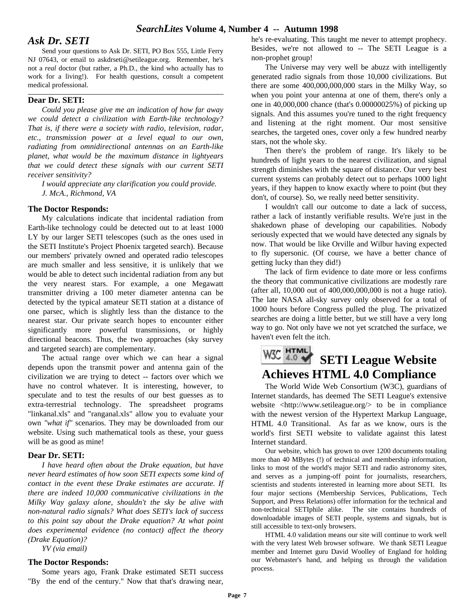## *Ask Dr. SETI*

Send your questions to Ask Dr. SETI, PO Box 555, Little Ferry NJ 07643, or email to askdrseti@setileague.org. Remember, he's not a *real* doctor (but rather, a Ph.D., the kind who actually has to work for a living!). For health questions, consult a competent medical professional.

#### **Dear Dr. SETI:**

*Could you please give me an indication of how far away we could detect a civilization with Earth-like technology? That is, if there were a society with radio, television, radar, etc., transmission power at a level equal to our own, radiating from omnidirectional antennas on an Earth-like planet, what would be the maximum distance in lightyears that we could detect these signals with our current SETI receiver sensitivity?*

*I would appreciate any clarification you could provide. J. McA., Richmond, VA*

#### **The Doctor Responds:**

My calculations indicate that incidental radiation from Earth-like technology could be detected out to at least 1000 LY by our larger SETI telescopes (such as the ones used in the SETI Institute's Project Phoenix targeted search). Because our members' privately owned and operated radio telescopes are much smaller and less sensitive, it is unlikely that we would be able to detect such incidental radiation from any but the very nearest stars. For example, a one Megawatt transmitter driving a 100 meter diameter antenna can be detected by the typical amateur SETI station at a distance of one parsec, which is slightly less than the distance to the nearest star. Our private search hopes to encounter either significantly more powerful transmissions, or highly directional beacons. Thus, the two approaches (sky survey and targeted search) are complementary.

The actual range over which we can hear a signal depends upon the transmit power and antenna gain of the civilization we are trying to detect -- factors over which we have no control whatever. It is interesting, however, to speculate and to test the results of our best guesses as to extra-terrestrial technology. The spreadsheet programs "linkanal.xls" and "ranganal.xls" allow you to evaluate your own *"what if"* scenarios. They may be downloaded from our website. Using such mathematical tools as these, your guess will be as good as mine!

#### **Dear Dr. SETI:**

*I have heard often about the Drake equation, but have never heard estimates of how soon SETI expects some kind of contact in the event these Drake estimates are accurate. If there are indeed 10,000 communicative civilizations in the Milky Way galaxy alone, shouldn't the sky be alive with non-natural radio signals? What does SETI's lack of success to this point say about the Drake equation? At what point does experimental evidence (no contact) affect the theory (Drake Equation)?*

*YV (via email)*

#### **The Doctor Responds:**

Some years ago, Frank Drake estimated SETI success "By the end of the century." Now that that's drawing near,

he's re-evaluating. This taught me never to attempt prophecy. Besides, we're not allowed to -- The SETI League is a non-prophet group!

The Universe may very well be abuzz with intelligently generated radio signals from those 10,000 civilizations. But there are some 400,000,000,000 stars in the Milky Way, so when you point your antenna at one of them, there's only a one in 40,000,000 chance (that's 0.00000025%) of picking up signals. And this assumes you're tuned to the right frequency and listening at the right moment. Our most sensitive searches, the targeted ones, cover only a few hundred nearby stars, not the whole sky.

Then there's the problem of range. It's likely to be hundreds of light years to the nearest civilization, and signal strength diminishes with the square of distance. Our very best current systems can probably detect out to perhaps 1000 light years, if they happen to know exactly where to point (but they don't, of course). So, we really need better sensitivity.

I wouldn't call our outcome to date a lack of success, rather a lack of instantly verifiable results. We're just in the shakedown phase of developing our capabilities. Nobody seriously expected that we would have detected any signals by now. That would be like Orville and Wilbur having expected to fly supersonic. (Of course, we have a better chance of getting lucky than they did!)

The lack of firm evidence to date more or less confirms the theory that communicative civilizations are modestly rare (after all, 10,000 out of 400,000,000,000 is not a huge ratio). The late NASA all-sky survey only observed for a total of 1000 hours before Congress pulled the plug. The privatized searches are doing a little better, but we still have a very long way to go. Not only have we not yet scratched the surface, we haven't even felt the itch.

# W3C 4.0 SETI League Website **Achieves HTML 4.0 Compliance**

The World Wide Web Consortium (W3C), guardians of Internet standards, has deemed The SETI League's extensive website <http://www.setileague.org/> to be in compliance with the newest version of the Hypertext Markup Language, HTML 4.0 Transitional. As far as we know, ours is the world's first SETI website to validate against this latest Internet standard.

Our website, which has grown to over 1200 documents totaling more than 40 MBytes (!) of technical and membership information, links to most of the world's major SETI and radio astronomy sites, and serves as a jumping-off point for journalists, researchers, scientists and students interested in learning more about SETI. Its four major sections (Membership Services, Publications, Tech Support, and Press Relations) offer information for the technical and non-technical SETIphile alike. The site contains hundreds of downloadable images of SETI people, systems and signals, but is still accessible to text-only browsers.

HTML 4.0 validation means our site will continue to work well with the very latest Web browser software. We thank SETI League member and Internet guru David Woolley of England for holding our Webmaster's hand, and helping us through the validation process.